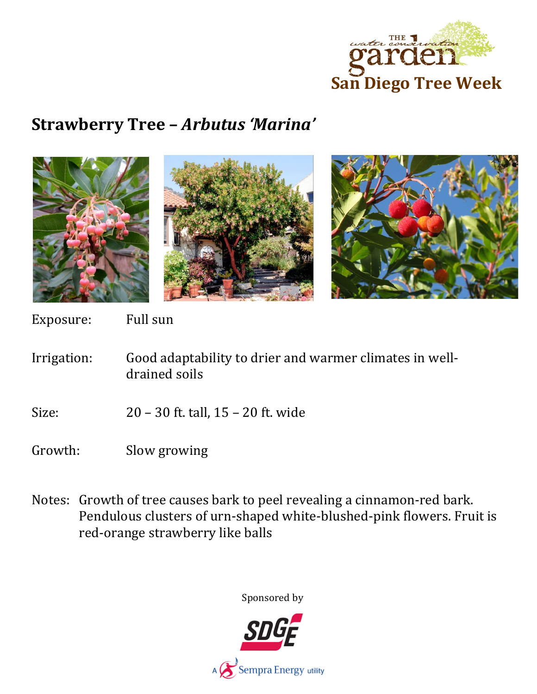

## **Strawberry Tree –** *Arbutus 'Marina'*



Exposure: Full sun

- Irrigation: Good adaptability to drier and warmer climates in welldrained soils
- Size: 20 30 ft. tall, 15 20 ft. wide
- Growth: Slow growing
- Notes: Growth of tree causes bark to peel revealing a cinnamon-red bark. Pendulous clusters of urn-shaped white-blushed-pink flowers. Fruit is red-orange strawberry like balls

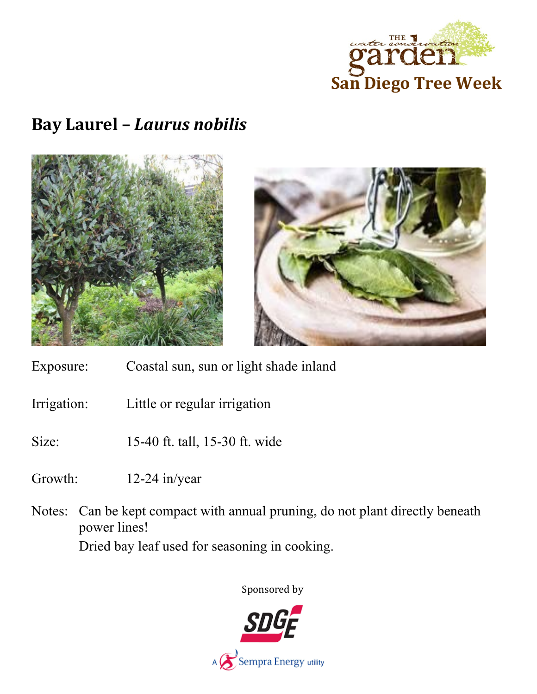

## **Bay Laurel –** *Laurus nobilis*





- Exposure: Coastal sun, sun or light shade inland
- Irrigation: Little or regular irrigation
- Size: 15-40 ft. tall, 15-30 ft. wide
- Growth: 12-24 in/year
- Notes: Can be kept compact with annual pruning, do not plant directly beneath power lines!

Dried bay leaf used for seasoning in cooking.

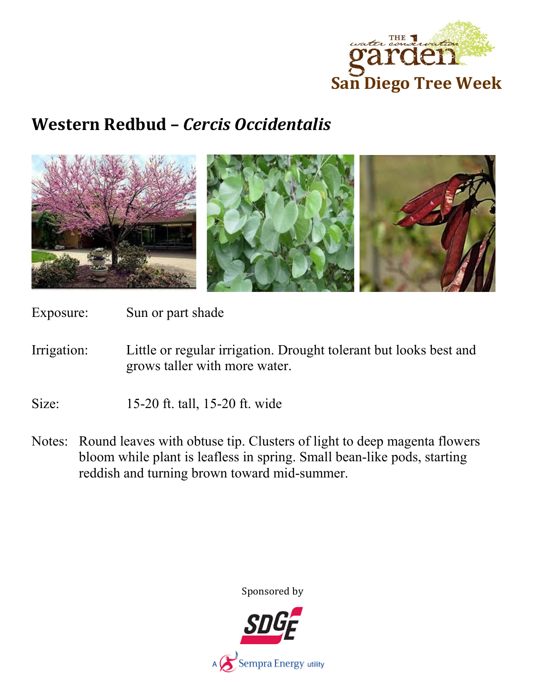

## **Western Redbud –** *Cercis Occidentalis*



Exposure: Sun or part shade

Irrigation: Little or regular irrigation. Drought tolerant but looks best and grows taller with more water.

Size: 15-20 ft. tall, 15-20 ft. wide

Notes: Round leaves with obtuse tip. Clusters of light to deep magenta flowers bloom while plant is leafless in spring. Small bean-like pods, starting reddish and turning brown toward mid-summer.

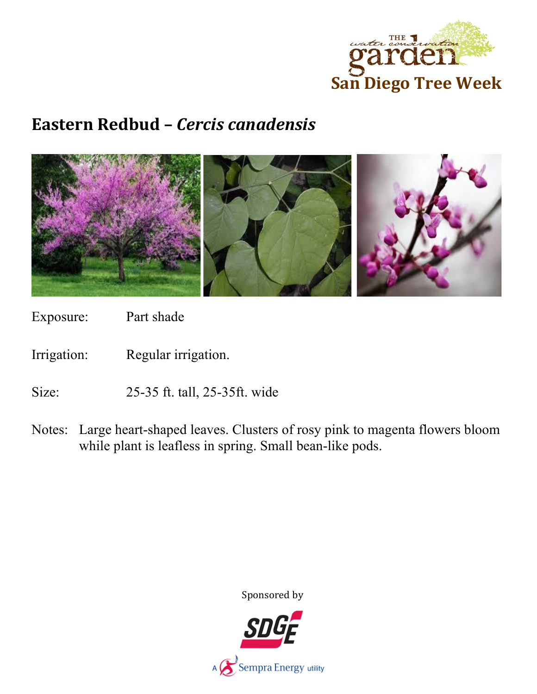

### **Eastern Redbud –** *Cercis canadensis*



Exposure: Part shade

Irrigation: Regular irrigation.

Size: 25-35 ft. tall, 25-35ft. wide

Notes: Large heart-shaped leaves. Clusters of rosy pink to magenta flowers bloom while plant is leafless in spring. Small bean-like pods.

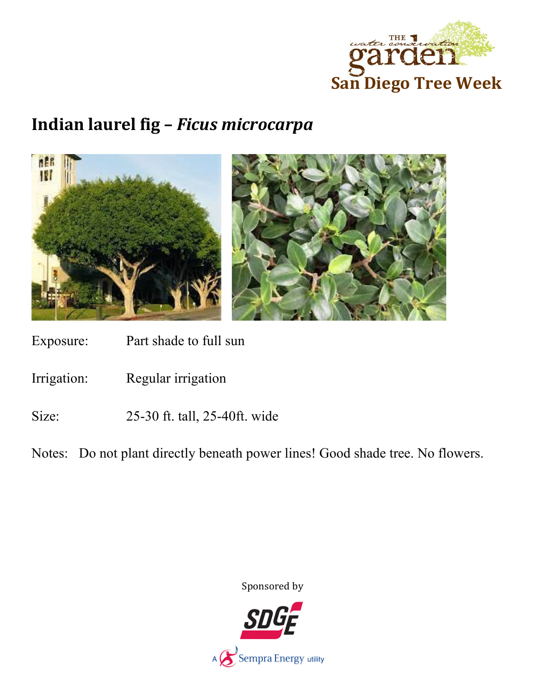

# **Indian laurel fig –** *Ficus microcarpa*



Exposure: Part shade to full sun

Irrigation: Regular irrigation

Size: 25-30 ft. tall, 25-40ft. wide

Notes: Do not plant directly beneath power lines! Good shade tree. No flowers.

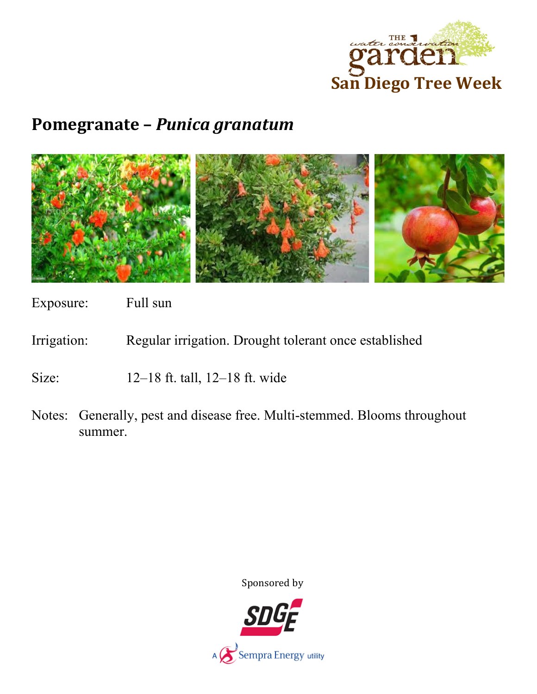

### **Pomegranate –** *Punica granatum*



Exposure: Full sun

Irrigation: Regular irrigation. Drought tolerant once established

Size: 12–18 ft. tall, 12–18 ft. wide

Notes: Generally, pest and disease free. Multi-stemmed. Blooms throughout summer.